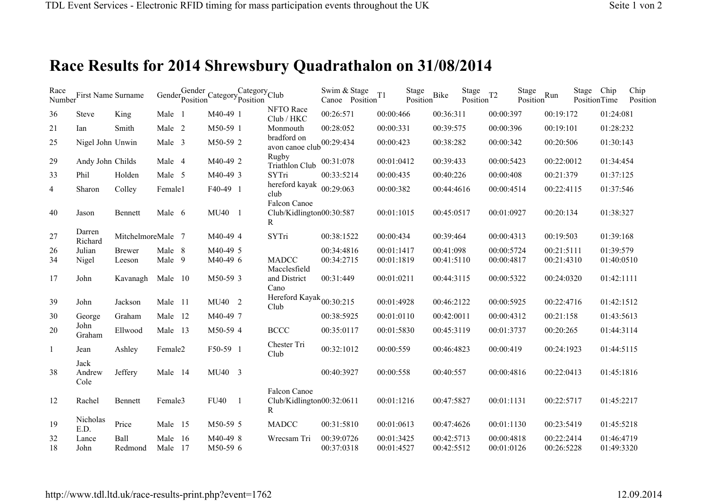## **Race Results for 2014 Shrewsbury Quadrathalon on 31/08/2014**

| Race           | Number<br>First Name Surname |                   |                     | Gender <sub>Position</sub> | Gender Category Position | Category <sub>Club</sub> |                                                          | Swim & Stage<br>Canoe Position | Stage<br>T <sub>1</sub>  | <b>Bike</b><br>Position  | Stage<br>Position | T <sub>2</sub>           | Stage<br>Position | Run                      | Stage<br>PositionTime | Chip                     | Chip<br>Position |
|----------------|------------------------------|-------------------|---------------------|----------------------------|--------------------------|--------------------------|----------------------------------------------------------|--------------------------------|--------------------------|--------------------------|-------------------|--------------------------|-------------------|--------------------------|-----------------------|--------------------------|------------------|
| 36             | <b>Steve</b>                 | King              | Male 1              |                            | M40-49 1                 |                          | NFTO Race<br>Club / HKC                                  | 00:26:571                      | 00:00:466                | 00:36:311                |                   | 00:00:397                |                   | 00:19:172                |                       | 01:24:081                |                  |
| 21             | Ian                          | Smith             | Male 2              |                            | M50-59 1                 |                          | Monmouth                                                 | 00:28:052                      | 00:00:331                | 00:39:575                |                   | 00:00:396                |                   | 00:19:101                |                       | 01:28:232                |                  |
| 25             | Nigel John Unwin             |                   | Male 3              |                            | M50-59 2                 |                          | bradford on<br>avon canoe club $00:29:434$               |                                | 00:00:423                | 00:38:282                |                   | 00:00:342                |                   | 00:20:506                |                       | 01:30:143                |                  |
| 29             | Andy John Childs             |                   | Male 4              |                            | M40-49 2                 |                          | Rugby<br>Triathlon Club                                  | 00:31:078                      | 00:01:0412               | 00:39:433                |                   | 00:00:5423               |                   | 00:22:0012               |                       | 01:34:454                |                  |
| 33             | Phil                         | Holden            | Male 5              |                            | M40-49 3                 |                          | SYTri                                                    | 00:33:5214                     | 00:00:435                | 00:40:226                |                   | 00:00:408                |                   | 00:21:379                |                       | 01:37:125                |                  |
| $\overline{4}$ | Sharon                       | Colley            | Female1             |                            | F40-49 1                 |                          | hereford kayak<br>club                                   | 00:29:063                      | 00:00:382                | 00:44:4616               |                   | 00:00:4514               |                   | 00:22:4115               |                       | 01:37:546                |                  |
| 40             | Jason                        | Bennett           | Male 6              |                            | MU40 1                   |                          | Falcon Canoe<br>Club/Kidlington00:30:587<br>$\mathbb{R}$ |                                | 00:01:1015               | 00:45:0517               |                   | 00:01:0927               |                   | 00:20:134                |                       | 01:38:327                |                  |
| 27             | Darren<br>Richard            | MitchelmoreMale 7 |                     |                            | M40-49 4                 |                          | SYTri                                                    | 00:38:1522                     | 00:00:434                | 00:39:464                |                   | 00:00:4313               |                   | 00:19:503                |                       | 01:39:168                |                  |
| 26             | Julian                       | <b>Brewer</b>     | Male 8              |                            | M40-49 5                 |                          |                                                          | 00:34:4816                     | 00:01:1417               | 00:41:098                |                   | 00:00:5724               |                   | 00:21:5111               |                       | 01:39:579                |                  |
| 34             | Nigel                        | Leeson            | Male 9              |                            | M40-49 6                 |                          | <b>MADCC</b><br>Macclesfield                             | 00:34:2715                     | 00:01:1819               | 00:41:5110               |                   | 00:00:4817               |                   | 00:21:4310               |                       | 01:40:0510               |                  |
| 17             | John                         | Kavanagh          | Male 10             |                            | M50-59 3                 |                          | and District<br>Cano                                     | 00:31:449                      | 00:01:0211               | 00:44:3115               |                   | 00:00:5322               |                   | 00:24:0320               |                       | 01:42:1111               |                  |
| 39             | John                         | Jackson           | Male 11             |                            | MU40 2                   |                          | Hereford Kayak <sub>00:30:215</sub><br>Club              |                                | 00:01:4928               | 00:46:2122               |                   | 00:00:5925               |                   | 00:22:4716               |                       | 01:42:1512               |                  |
| 30             | George                       | Graham            | Male 12             |                            | M40-49 7                 |                          |                                                          | 00:38:5925                     | 00:01:0110               | 00:42:0011               |                   | 00:00:4312               |                   | 00:21:158                |                       | 01:43:5613               |                  |
| 20             | John<br>Graham               | Ellwood           | Male 13             |                            | M50-59 4                 |                          | <b>BCCC</b>                                              | 00:35:0117                     | 00:01:5830               | 00:45:3119               |                   | 00:01:3737               |                   | 00:20:265                |                       | 01:44:3114               |                  |
| 1              | Jean                         | Ashley            | Female <sub>2</sub> |                            | F50-59 1                 |                          | Chester Tri<br>Club                                      | 00:32:1012                     | 00:00:559                | 00:46:4823               |                   | 00:00:419                |                   | 00:24:1923               |                       | 01:44:5115               |                  |
| 38             | Jack<br>Andrew<br>Cole       | Jeffery           | Male 14             |                            | MU40 3                   |                          |                                                          | 00:40:3927                     | 00:00:558                | 00:40:557                |                   | 00:00:4816               |                   | 00:22:0413               |                       | 01:45:1816               |                  |
| 12             | Rachel                       | Bennett           | Female3             |                            | <b>FU40</b>              | $\overline{1}$           | Falcon Canoe<br>Club/Kidlington00:32:0611<br>R           |                                | 00:01:1216               | 00:47:5827               |                   | 00:01:1131               |                   | 00:22:5717               |                       | 01:45:2217               |                  |
| 19             | Nicholas<br>E.D.             | Price             | Male 15             |                            | M50-59 5                 |                          | <b>MADCC</b>                                             | 00:31:5810                     | 00:01:0613               | 00:47:4626               |                   | 00:01:1130               |                   | 00:23:5419               |                       | 01:45:5218               |                  |
| 32<br>18       | Lance<br>John                | Ball<br>Redmond   | Male<br>Male 17     | - 16                       | M40-49 8<br>M50-59 6     |                          | Wrecsam Tri                                              | 00:39:0726<br>00:37:0318       | 00:01:3425<br>00:01:4527 | 00:42:5713<br>00:42:5512 |                   | 00:00:4818<br>00:01:0126 |                   | 00:22:2414<br>00:26:5228 |                       | 01:46:4719<br>01:49:3320 |                  |